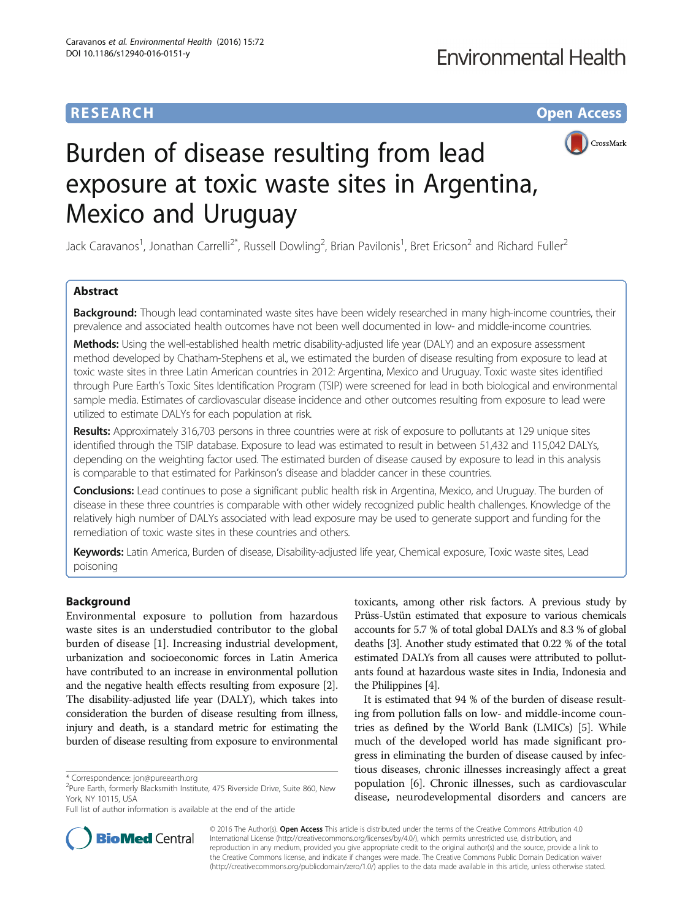# **RESEARCH CHE Open Access**



# Burden of disease resulting from lead exposure at toxic waste sites in Argentina, Mexico and Uruguay

Jack Caravanos<sup>1</sup>, Jonathan Carrelli<sup>2\*</sup>, Russell Dowling<sup>2</sup>, Brian Pavilonis<sup>1</sup>, Bret Ericson<sup>2</sup> and Richard Fuller<sup>2</sup>

## Abstract

Background: Though lead contaminated waste sites have been widely researched in many high-income countries, their prevalence and associated health outcomes have not been well documented in low- and middle-income countries.

Methods: Using the well-established health metric disability-adjusted life year (DALY) and an exposure assessment method developed by Chatham-Stephens et al., we estimated the burden of disease resulting from exposure to lead at toxic waste sites in three Latin American countries in 2012: Argentina, Mexico and Uruguay. Toxic waste sites identified through Pure Earth's Toxic Sites Identification Program (TSIP) were screened for lead in both biological and environmental sample media. Estimates of cardiovascular disease incidence and other outcomes resulting from exposure to lead were utilized to estimate DALYs for each population at risk.

Results: Approximately 316,703 persons in three countries were at risk of exposure to pollutants at 129 unique sites identified through the TSIP database. Exposure to lead was estimated to result in between 51,432 and 115,042 DALYs, depending on the weighting factor used. The estimated burden of disease caused by exposure to lead in this analysis is comparable to that estimated for Parkinson's disease and bladder cancer in these countries.

Conclusions: Lead continues to pose a significant public health risk in Argentina, Mexico, and Uruguay. The burden of disease in these three countries is comparable with other widely recognized public health challenges. Knowledge of the relatively high number of DALYs associated with lead exposure may be used to generate support and funding for the remediation of toxic waste sites in these countries and others.

Keywords: Latin America, Burden of disease, Disability-adjusted life year, Chemical exposure, Toxic waste sites, Lead poisoning

## Background

Environmental exposure to pollution from hazardous waste sites is an understudied contributor to the global burden of disease [\[1\]](#page-7-0). Increasing industrial development, urbanization and socioeconomic forces in Latin America have contributed to an increase in environmental pollution and the negative health effects resulting from exposure [[2](#page-7-0)]. The disability-adjusted life year (DALY), which takes into consideration the burden of disease resulting from illness, injury and death, is a standard metric for estimating the burden of disease resulting from exposure to environmental

toxicants, among other risk factors. A previous study by Prüss-Ustün estimated that exposure to various chemicals accounts for 5.7 % of total global DALYs and 8.3 % of global deaths [[3](#page-7-0)]. Another study estimated that 0.22 % of the total estimated DALYs from all causes were attributed to pollutants found at hazardous waste sites in India, Indonesia and the Philippines [\[4](#page-7-0)].

It is estimated that 94 % of the burden of disease resulting from pollution falls on low- and middle-income countries as defined by the World Bank (LMICs) [[5\]](#page-7-0). While much of the developed world has made significant progress in eliminating the burden of disease caused by infectious diseases, chronic illnesses increasingly affect a great population [\[6](#page-7-0)]. Chronic illnesses, such as cardiovascular disease, neurodevelopmental disorders and cancers are



© 2016 The Author(s). Open Access This article is distributed under the terms of the Creative Commons Attribution 4.0 International License [\(http://creativecommons.org/licenses/by/4.0/](http://creativecommons.org/licenses/by/4.0/)), which permits unrestricted use, distribution, and reproduction in any medium, provided you give appropriate credit to the original author(s) and the source, provide a link to the Creative Commons license, and indicate if changes were made. The Creative Commons Public Domain Dedication waiver [\(http://creativecommons.org/publicdomain/zero/1.0/](http://creativecommons.org/publicdomain/zero/1.0/)) applies to the data made available in this article, unless otherwise stated.

<sup>\*</sup> Correspondence: [jon@pureearth.org](mailto:jon@pureearth.org) <sup>2</sup>

<sup>&</sup>lt;sup>2</sup>Pure Earth, formerly Blacksmith Institute, 475 Riverside Drive, Suite 860, New York, NY 10115, USA

Full list of author information is available at the end of the article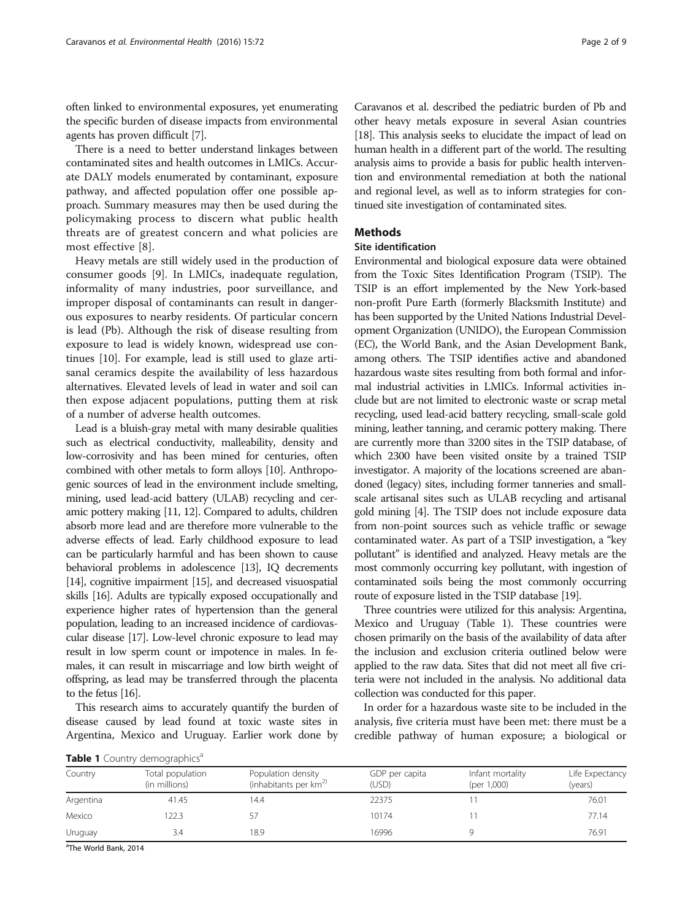often linked to environmental exposures, yet enumerating the specific burden of disease impacts from environmental agents has proven difficult [[7](#page-7-0)].

There is a need to better understand linkages between contaminated sites and health outcomes in LMICs. Accurate DALY models enumerated by contaminant, exposure pathway, and affected population offer one possible approach. Summary measures may then be used during the policymaking process to discern what public health threats are of greatest concern and what policies are most effective [\[8](#page-7-0)].

Heavy metals are still widely used in the production of consumer goods [[9\]](#page-7-0). In LMICs, inadequate regulation, informality of many industries, poor surveillance, and improper disposal of contaminants can result in dangerous exposures to nearby residents. Of particular concern is lead (Pb). Although the risk of disease resulting from exposure to lead is widely known, widespread use continues [\[10](#page-7-0)]. For example, lead is still used to glaze artisanal ceramics despite the availability of less hazardous alternatives. Elevated levels of lead in water and soil can then expose adjacent populations, putting them at risk of a number of adverse health outcomes.

Lead is a bluish-gray metal with many desirable qualities such as electrical conductivity, malleability, density and low-corrosivity and has been mined for centuries, often combined with other metals to form alloys [\[10\]](#page-7-0). Anthropogenic sources of lead in the environment include smelting, mining, used lead-acid battery (ULAB) recycling and ceramic pottery making [[11](#page-7-0), [12](#page-7-0)]. Compared to adults, children absorb more lead and are therefore more vulnerable to the adverse effects of lead. Early childhood exposure to lead can be particularly harmful and has been shown to cause behavioral problems in adolescence [\[13\]](#page-7-0), IQ decrements [[14](#page-7-0)], cognitive impairment [\[15](#page-7-0)], and decreased visuospatial skills [\[16\]](#page-7-0). Adults are typically exposed occupationally and experience higher rates of hypertension than the general population, leading to an increased incidence of cardiovascular disease [\[17\]](#page-7-0). Low-level chronic exposure to lead may result in low sperm count or impotence in males. In females, it can result in miscarriage and low birth weight of offspring, as lead may be transferred through the placenta to the fetus [\[16\]](#page-7-0).

This research aims to accurately quantify the burden of disease caused by lead found at toxic waste sites in Argentina, Mexico and Uruguay. Earlier work done by

Caravanos et al. described the pediatric burden of Pb and other heavy metals exposure in several Asian countries [[18](#page-7-0)]. This analysis seeks to elucidate the impact of lead on human health in a different part of the world. The resulting analysis aims to provide a basis for public health intervention and environmental remediation at both the national and regional level, as well as to inform strategies for continued site investigation of contaminated sites.

## **Methods**

## Site identification

Environmental and biological exposure data were obtained from the Toxic Sites Identification Program (TSIP). The TSIP is an effort implemented by the New York-based non-profit Pure Earth (formerly Blacksmith Institute) and has been supported by the United Nations Industrial Development Organization (UNIDO), the European Commission (EC), the World Bank, and the Asian Development Bank, among others. The TSIP identifies active and abandoned hazardous waste sites resulting from both formal and informal industrial activities in LMICs. Informal activities include but are not limited to electronic waste or scrap metal recycling, used lead-acid battery recycling, small-scale gold mining, leather tanning, and ceramic pottery making. There are currently more than 3200 sites in the TSIP database, of which 2300 have been visited onsite by a trained TSIP investigator. A majority of the locations screened are abandoned (legacy) sites, including former tanneries and smallscale artisanal sites such as ULAB recycling and artisanal gold mining [\[4\]](#page-7-0). The TSIP does not include exposure data from non-point sources such as vehicle traffic or sewage contaminated water. As part of a TSIP investigation, a "key pollutant" is identified and analyzed. Heavy metals are the most commonly occurring key pollutant, with ingestion of contaminated soils being the most commonly occurring route of exposure listed in the TSIP database [\[19\]](#page-7-0).

Three countries were utilized for this analysis: Argentina, Mexico and Uruguay (Table 1). These countries were chosen primarily on the basis of the availability of data after the inclusion and exclusion criteria outlined below were applied to the raw data. Sites that did not meet all five criteria were not included in the analysis. No additional data collection was conducted for this paper.

In order for a hazardous waste site to be included in the analysis, five criteria must have been met: there must be a credible pathway of human exposure; a biological or

Table 1 Country demographics<sup>a</sup>

| Country   | Total population<br>(in millions) | Population density<br>(inhabitants per $km2$ ) | GDP per capita<br>(USD) | Infant mortality<br>(per 1,000) | Life Expectancy<br>(years) |
|-----------|-----------------------------------|------------------------------------------------|-------------------------|---------------------------------|----------------------------|
| Argentina | 41.45                             | 14.4                                           | 22375                   |                                 | 76.01                      |
| Mexico    | 22.3                              |                                                | 10174                   |                                 | 77.14                      |
| Uruguay   |                                   | 18.9                                           | 16996                   |                                 | 76.91                      |

<sup>a</sup>The World Bank, 2014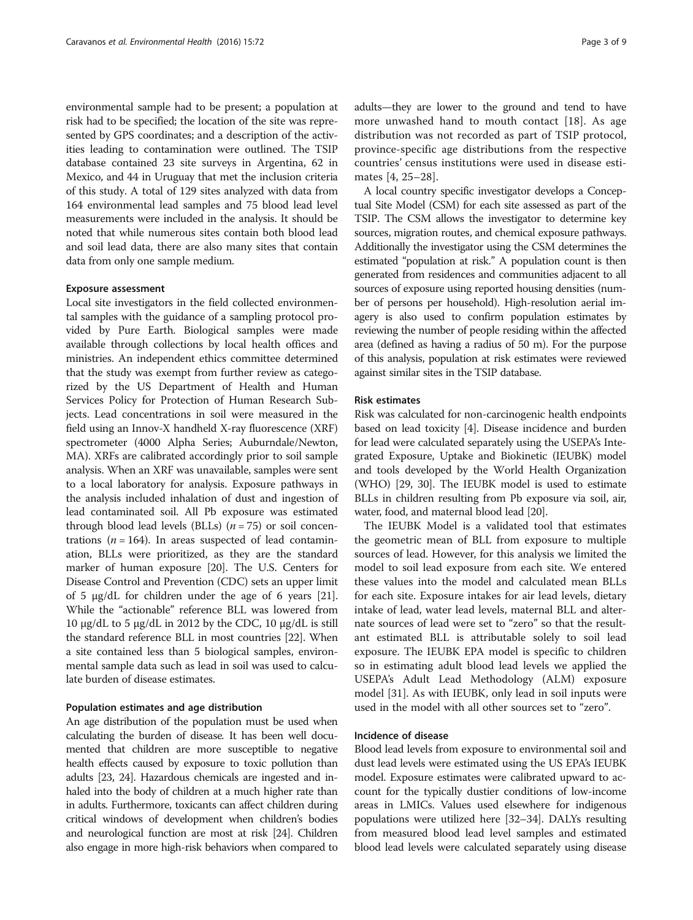environmental sample had to be present; a population at risk had to be specified; the location of the site was represented by GPS coordinates; and a description of the activities leading to contamination were outlined. The TSIP database contained 23 site surveys in Argentina, 62 in Mexico, and 44 in Uruguay that met the inclusion criteria of this study. A total of 129 sites analyzed with data from 164 environmental lead samples and 75 blood lead level measurements were included in the analysis. It should be noted that while numerous sites contain both blood lead and soil lead data, there are also many sites that contain data from only one sample medium.

#### Exposure assessment

Local site investigators in the field collected environmental samples with the guidance of a sampling protocol provided by Pure Earth. Biological samples were made available through collections by local health offices and ministries. An independent ethics committee determined that the study was exempt from further review as categorized by the US Department of Health and Human Services Policy for Protection of Human Research Subjects. Lead concentrations in soil were measured in the field using an Innov-X handheld X-ray fluorescence (XRF) spectrometer (4000 Alpha Series; Auburndale/Newton, MA). XRFs are calibrated accordingly prior to soil sample analysis. When an XRF was unavailable, samples were sent to a local laboratory for analysis. Exposure pathways in the analysis included inhalation of dust and ingestion of lead contaminated soil. All Pb exposure was estimated through blood lead levels (BLLs)  $(n = 75)$  or soil concentrations ( $n = 164$ ). In areas suspected of lead contamination, BLLs were prioritized, as they are the standard marker of human exposure [\[20\]](#page-7-0). The U.S. Centers for Disease Control and Prevention (CDC) sets an upper limit of 5 μg/dL for children under the age of 6 years [[21](#page-7-0)]. While the "actionable" reference BLL was lowered from 10 μg/dL to 5 μg/dL in 2012 by the CDC, 10 μg/dL is still the standard reference BLL in most countries [[22](#page-7-0)]. When a site contained less than 5 biological samples, environmental sample data such as lead in soil was used to calculate burden of disease estimates.

#### Population estimates and age distribution

An age distribution of the population must be used when calculating the burden of disease. It has been well documented that children are more susceptible to negative health effects caused by exposure to toxic pollution than adults [\[23](#page-7-0), [24\]](#page-7-0). Hazardous chemicals are ingested and inhaled into the body of children at a much higher rate than in adults. Furthermore, toxicants can affect children during critical windows of development when children's bodies and neurological function are most at risk [\[24\]](#page-7-0). Children also engage in more high-risk behaviors when compared to adults—they are lower to the ground and tend to have more unwashed hand to mouth contact [\[18](#page-7-0)]. As age distribution was not recorded as part of TSIP protocol, province-specific age distributions from the respective countries' census institutions were used in disease estimates [\[4](#page-7-0), [25](#page-7-0)–[28\]](#page-8-0).

A local country specific investigator develops a Conceptual Site Model (CSM) for each site assessed as part of the TSIP. The CSM allows the investigator to determine key sources, migration routes, and chemical exposure pathways. Additionally the investigator using the CSM determines the estimated "population at risk." A population count is then generated from residences and communities adjacent to all sources of exposure using reported housing densities (number of persons per household). High-resolution aerial imagery is also used to confirm population estimates by reviewing the number of people residing within the affected area (defined as having a radius of 50 m). For the purpose of this analysis, population at risk estimates were reviewed against similar sites in the TSIP database.

#### Risk estimates

Risk was calculated for non-carcinogenic health endpoints based on lead toxicity [[4\]](#page-7-0). Disease incidence and burden for lead were calculated separately using the USEPA's Integrated Exposure, Uptake and Biokinetic (IEUBK) model and tools developed by the World Health Organization (WHO) [\[29, 30\]](#page-8-0). The IEUBK model is used to estimate BLLs in children resulting from Pb exposure via soil, air, water, food, and maternal blood lead [\[20\]](#page-7-0).

The IEUBK Model is a validated tool that estimates the geometric mean of BLL from exposure to multiple sources of lead. However, for this analysis we limited the model to soil lead exposure from each site. We entered these values into the model and calculated mean BLLs for each site. Exposure intakes for air lead levels, dietary intake of lead, water lead levels, maternal BLL and alternate sources of lead were set to "zero" so that the resultant estimated BLL is attributable solely to soil lead exposure. The IEUBK EPA model is specific to children so in estimating adult blood lead levels we applied the USEPA's Adult Lead Methodology (ALM) exposure model [\[31](#page-8-0)]. As with IEUBK, only lead in soil inputs were used in the model with all other sources set to "zero".

## Incidence of disease

Blood lead levels from exposure to environmental soil and dust lead levels were estimated using the US EPA's IEUBK model. Exposure estimates were calibrated upward to account for the typically dustier conditions of low-income areas in LMICs. Values used elsewhere for indigenous populations were utilized here [\[32](#page-8-0)–[34](#page-8-0)]. DALYs resulting from measured blood lead level samples and estimated blood lead levels were calculated separately using disease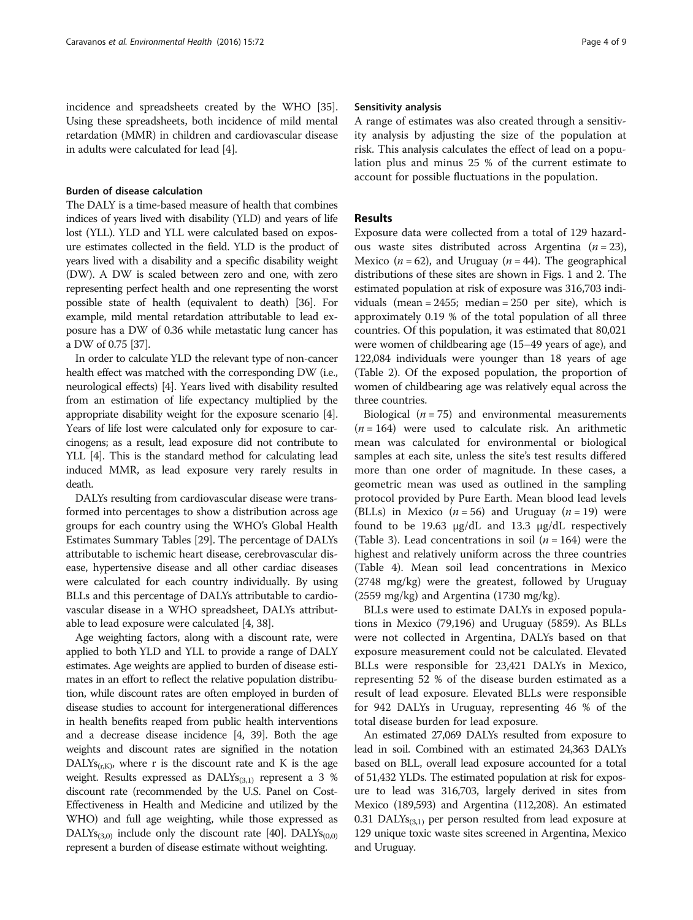incidence and spreadsheets created by the WHO [[35](#page-8-0)]. Using these spreadsheets, both incidence of mild mental retardation (MMR) in children and cardiovascular disease in adults were calculated for lead [\[4\]](#page-7-0).

#### Burden of disease calculation

The DALY is a time-based measure of health that combines indices of years lived with disability (YLD) and years of life lost (YLL). YLD and YLL were calculated based on exposure estimates collected in the field. YLD is the product of years lived with a disability and a specific disability weight (DW). A DW is scaled between zero and one, with zero representing perfect health and one representing the worst possible state of health (equivalent to death) [\[36](#page-8-0)]. For example, mild mental retardation attributable to lead exposure has a DW of 0.36 while metastatic lung cancer has a DW of 0.75 [\[37](#page-8-0)].

In order to calculate YLD the relevant type of non-cancer health effect was matched with the corresponding DW (i.e., neurological effects) [\[4\]](#page-7-0). Years lived with disability resulted from an estimation of life expectancy multiplied by the appropriate disability weight for the exposure scenario [[4](#page-7-0)]. Years of life lost were calculated only for exposure to carcinogens; as a result, lead exposure did not contribute to YLL [\[4\]](#page-7-0). This is the standard method for calculating lead induced MMR, as lead exposure very rarely results in death.

DALYs resulting from cardiovascular disease were transformed into percentages to show a distribution across age groups for each country using the WHO's Global Health Estimates Summary Tables [\[29\]](#page-8-0). The percentage of DALYs attributable to ischemic heart disease, cerebrovascular disease, hypertensive disease and all other cardiac diseases were calculated for each country individually. By using BLLs and this percentage of DALYs attributable to cardiovascular disease in a WHO spreadsheet, DALYs attributable to lead exposure were calculated [\[4,](#page-7-0) [38](#page-8-0)].

Age weighting factors, along with a discount rate, were applied to both YLD and YLL to provide a range of DALY estimates. Age weights are applied to burden of disease estimates in an effort to reflect the relative population distribution, while discount rates are often employed in burden of disease studies to account for intergenerational differences in health benefits reaped from public health interventions and a decrease disease incidence [\[4](#page-7-0), [39](#page-8-0)]. Both the age weights and discount rates are signified in the notation DALYs<sub>(r,K)</sub>, where r is the discount rate and K is the age weight. Results expressed as  $\text{DALYs}_{(3,1)}$  represent a 3 % discount rate (recommended by the U.S. Panel on Cost-Effectiveness in Health and Medicine and utilized by the WHO) and full age weighting, while those expressed as DALYs<sub>(3,0)</sub> include only the discount rate [[40](#page-8-0)]. DALYs<sub>(0,0)</sub> represent a burden of disease estimate without weighting.

#### Sensitivity analysis

A range of estimates was also created through a sensitivity analysis by adjusting the size of the population at risk. This analysis calculates the effect of lead on a population plus and minus 25 % of the current estimate to account for possible fluctuations in the population.

## Results

Exposure data were collected from a total of 129 hazardous waste sites distributed across Argentina  $(n = 23)$ , Mexico ( $n = 62$ ), and Uruguay ( $n = 44$ ). The geographical distributions of these sites are shown in Figs. [1](#page-4-0) and [2.](#page-5-0) The estimated population at risk of exposure was 316,703 individuals (mean =  $2455$ ; median =  $250$  per site), which is approximately 0.19 % of the total population of all three countries. Of this population, it was estimated that 80,021 were women of childbearing age (15–49 years of age), and 122,084 individuals were younger than 18 years of age (Table [2\)](#page-5-0). Of the exposed population, the proportion of women of childbearing age was relatively equal across the three countries.

Biological ( $n = 75$ ) and environmental measurements  $(n = 164)$  were used to calculate risk. An arithmetic mean was calculated for environmental or biological samples at each site, unless the site's test results differed more than one order of magnitude. In these cases, a geometric mean was used as outlined in the sampling protocol provided by Pure Earth. Mean blood lead levels (BLLs) in Mexico  $(n = 56)$  and Uruguay  $(n = 19)$  were found to be 19.63 μg/dL and 13.3 μg/dL respectively (Table [3\)](#page-6-0). Lead concentrations in soil  $(n = 164)$  were the highest and relatively uniform across the three countries (Table [4\)](#page-6-0). Mean soil lead concentrations in Mexico (2748 mg/kg) were the greatest, followed by Uruguay (2559 mg/kg) and Argentina (1730 mg/kg).

BLLs were used to estimate DALYs in exposed populations in Mexico (79,196) and Uruguay (5859). As BLLs were not collected in Argentina, DALYs based on that exposure measurement could not be calculated. Elevated BLLs were responsible for 23,421 DALYs in Mexico, representing 52 % of the disease burden estimated as a result of lead exposure. Elevated BLLs were responsible for 942 DALYs in Uruguay, representing 46 % of the total disease burden for lead exposure.

An estimated 27,069 DALYs resulted from exposure to lead in soil. Combined with an estimated 24,363 DALYs based on BLL, overall lead exposure accounted for a total of 51,432 YLDs. The estimated population at risk for exposure to lead was 316,703, largely derived in sites from Mexico (189,593) and Argentina (112,208). An estimated 0.31 DALYs<sub>(3,1)</sub> per person resulted from lead exposure at 129 unique toxic waste sites screened in Argentina, Mexico and Uruguay.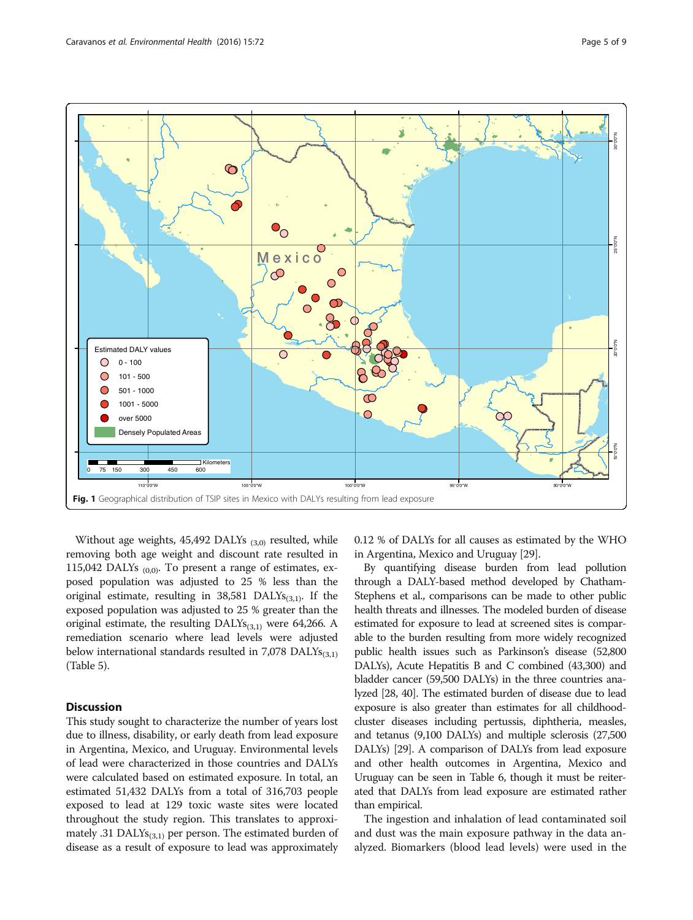<span id="page-4-0"></span>

Without age weights,  $45,492$  DALYs  $_{(3,0)}$  resulted, while removing both age weight and discount rate resulted in 115,042 DALYs  $_{(0,0)}$ . To present a range of estimates, exposed population was adjusted to 25 % less than the original estimate, resulting in  $38,581$  DALYs<sub>(3,1)</sub>. If the exposed population was adjusted to 25 % greater than the original estimate, the resulting  $\text{DALYs}_{(3,1)}$  were 64,266. A remediation scenario where lead levels were adjusted below international standards resulted in 7,078 DALYs $_{(3,1)}$ (Table [5](#page-6-0)).

## **Discussion**

This study sought to characterize the number of years lost due to illness, disability, or early death from lead exposure in Argentina, Mexico, and Uruguay. Environmental levels of lead were characterized in those countries and DALYs were calculated based on estimated exposure. In total, an estimated 51,432 DALYs from a total of 316,703 people exposed to lead at 129 toxic waste sites were located throughout the study region. This translates to approximately .31 DALYs $_{(3,1)}$  per person. The estimated burden of disease as a result of exposure to lead was approximately 0.12 % of DALYs for all causes as estimated by the WHO in Argentina, Mexico and Uruguay [\[29\]](#page-8-0).

By quantifying disease burden from lead pollution through a DALY-based method developed by Chatham-Stephens et al., comparisons can be made to other public health threats and illnesses. The modeled burden of disease estimated for exposure to lead at screened sites is comparable to the burden resulting from more widely recognized public health issues such as Parkinson's disease (52,800 DALYs), Acute Hepatitis B and C combined (43,300) and bladder cancer (59,500 DALYs) in the three countries analyzed [[28](#page-8-0), [40\]](#page-8-0). The estimated burden of disease due to lead exposure is also greater than estimates for all childhoodcluster diseases including pertussis, diphtheria, measles, and tetanus (9,100 DALYs) and multiple sclerosis (27,500 DALYs) [[29\]](#page-8-0). A comparison of DALYs from lead exposure and other health outcomes in Argentina, Mexico and Uruguay can be seen in Table [6](#page-6-0), though it must be reiterated that DALYs from lead exposure are estimated rather than empirical.

The ingestion and inhalation of lead contaminated soil and dust was the main exposure pathway in the data analyzed. Biomarkers (blood lead levels) were used in the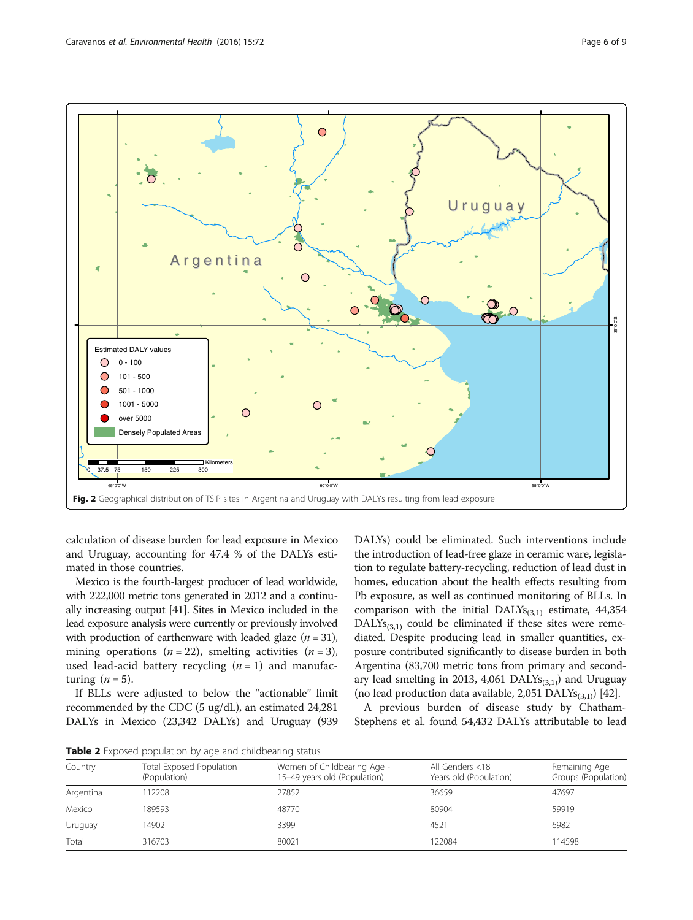<span id="page-5-0"></span>

calculation of disease burden for lead exposure in Mexico and Uruguay, accounting for 47.4 % of the DALYs estimated in those countries.

Mexico is the fourth-largest producer of lead worldwide, with 222,000 metric tons generated in 2012 and a continually increasing output [\[41\]](#page-8-0). Sites in Mexico included in the lead exposure analysis were currently or previously involved with production of earthenware with leaded glaze  $(n = 31)$ , mining operations ( $n = 22$ ), smelting activities ( $n = 3$ ), used lead-acid battery recycling  $(n = 1)$  and manufacturing  $(n = 5)$ .

If BLLs were adjusted to below the "actionable" limit recommended by the CDC (5 ug/dL), an estimated 24,281 DALYs in Mexico (23,342 DALYs) and Uruguay (939 DALYs) could be eliminated. Such interventions include the introduction of lead-free glaze in ceramic ware, legislation to regulate battery-recycling, reduction of lead dust in homes, education about the health effects resulting from Pb exposure, as well as continued monitoring of BLLs. In comparison with the initial  $\text{DALYs}_{(3,1)}$  estimate, 44,354  $\text{DALYs}_{(3,1)}$  could be eliminated if these sites were remediated. Despite producing lead in smaller quantities, exposure contributed significantly to disease burden in both Argentina (83,700 metric tons from primary and secondary lead smelting in 2013, 4,061 DALYs $_{(3,1)}$  and Uruguay (no lead production data available, 2,051 DALYs $_{(3,1)}$ ) [[42](#page-8-0)].

A previous burden of disease study by Chatham-Stephens et al. found 54,432 DALYs attributable to lead

Table 2 Exposed population by age and childbearing status

| Country   | Total Exposed Population<br>(Population) | Women of Childbearing Age -<br>15-49 years old (Population) | All Genders <18<br>Years old (Population) | Remaining Age<br>Groups (Population) |
|-----------|------------------------------------------|-------------------------------------------------------------|-------------------------------------------|--------------------------------------|
| Argentina | 12208                                    | 27852                                                       | 36659                                     | 47697                                |
| Mexico    | 189593                                   | 48770                                                       | 80904                                     | 59919                                |
| Uruguay   | 14902                                    | 3399                                                        | 4521                                      | 6982                                 |
| Total     | 316703                                   | 80021                                                       | 122084                                    | 114598                               |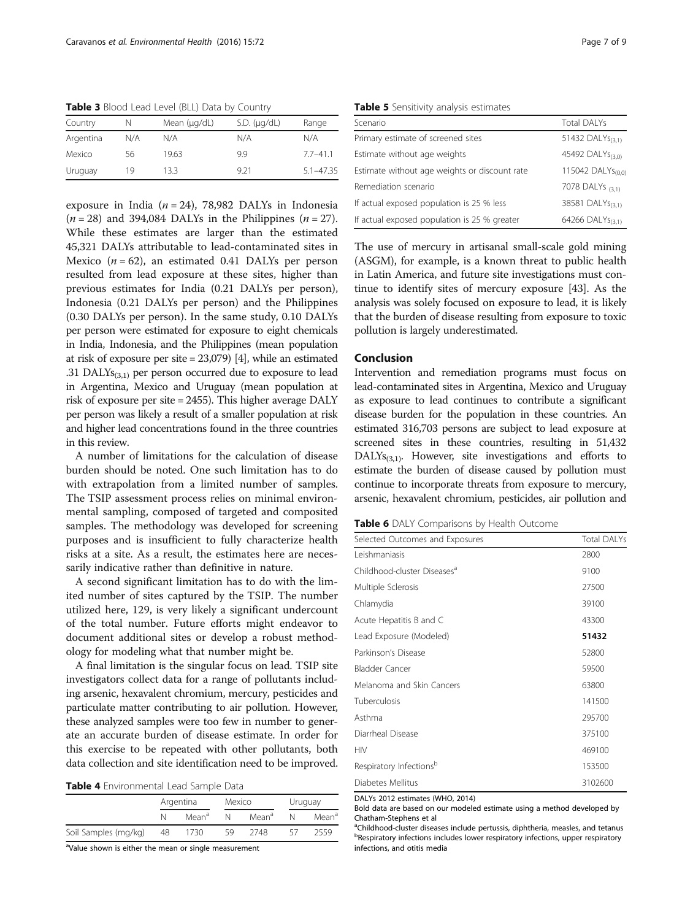<span id="page-6-0"></span>Table 3 Blood Lead Level (BLL) Data by Country

| Country   | N   | Mean (µg/dL) | S.D. (µq/dL) | Range         |
|-----------|-----|--------------|--------------|---------------|
| Argentina | N/A | N/A          | N/A          | N/A           |
| Mexico    | 56  | 19.63        | 99           | $7.7 - 41.1$  |
| Uruguay   | 19  | 13.3         | 9.21         | $5.1 - 47.35$ |

exposure in India ( $n = 24$ ), 78,982 DALYs in Indonesia  $(n = 28)$  and 394,084 DALYs in the Philippines  $(n = 27)$ . While these estimates are larger than the estimated 45,321 DALYs attributable to lead-contaminated sites in Mexico ( $n = 62$ ), an estimated 0.41 DALYs per person resulted from lead exposure at these sites, higher than previous estimates for India (0.21 DALYs per person), Indonesia (0.21 DALYs per person) and the Philippines (0.30 DALYs per person). In the same study, 0.10 DALYs per person were estimated for exposure to eight chemicals in India, Indonesia, and the Philippines (mean population at risk of exposure per site = 23,079) [[4](#page-7-0)], while an estimated .31 DALY $s_{(3,1)}$  per person occurred due to exposure to lead in Argentina, Mexico and Uruguay (mean population at risk of exposure per site = 2455). This higher average DALY per person was likely a result of a smaller population at risk and higher lead concentrations found in the three countries in this review.

A number of limitations for the calculation of disease burden should be noted. One such limitation has to do with extrapolation from a limited number of samples. The TSIP assessment process relies on minimal environmental sampling, composed of targeted and composited samples. The methodology was developed for screening purposes and is insufficient to fully characterize health risks at a site. As a result, the estimates here are necessarily indicative rather than definitive in nature.

A second significant limitation has to do with the limited number of sites captured by the TSIP. The number utilized here, 129, is very likely a significant undercount of the total number. Future efforts might endeavor to document additional sites or develop a robust methodology for modeling what that number might be.

A final limitation is the singular focus on lead. TSIP site investigators collect data for a range of pollutants including arsenic, hexavalent chromium, mercury, pesticides and particulate matter contributing to air pollution. However, these analyzed samples were too few in number to generate an accurate burden of disease estimate. In order for this exercise to be repeated with other pollutants, both data collection and site identification need to be improved.

| Table 4 Environmental Lead Sample Data |
|----------------------------------------|
|----------------------------------------|

|                      | Argentina |                   |    | Mexico            |  | Uruguay           |  |
|----------------------|-----------|-------------------|----|-------------------|--|-------------------|--|
|                      |           | Mean <sup>a</sup> |    | Mean <sup>d</sup> |  | Mean <sup>a</sup> |  |
| Soil Samples (mg/kg) | 48        | 1730              | 59 | 2748              |  | 2559              |  |

<sup>a</sup>Value shown is either the mean or single measurement

Table 5 Sensitivity analysis estimates

| Scenario                                      | <b>Total DALYs</b>            |
|-----------------------------------------------|-------------------------------|
| Primary estimate of screened sites            | 51432 DALY <sub>S(3.1)</sub>  |
| Estimate without age weights                  | 45492 DALYS(3,0)              |
| Estimate without age weights or discount rate | 115042 DALYs <sub>(0.0)</sub> |
| Remediation scenario                          | 7078 DALYs (3.1)              |
| If actual exposed population is 25 % less     | 38581 DALY <sub>S(3,1)</sub>  |
| If actual exposed population is 25 % greater  | 64266 DALY <sub>S(3,1)</sub>  |

The use of mercury in artisanal small-scale gold mining (ASGM), for example, is a known threat to public health in Latin America, and future site investigations must continue to identify sites of mercury exposure [[43](#page-8-0)]. As the analysis was solely focused on exposure to lead, it is likely that the burden of disease resulting from exposure to toxic pollution is largely underestimated.

#### Conclusion

Intervention and remediation programs must focus on lead-contaminated sites in Argentina, Mexico and Uruguay as exposure to lead continues to contribute a significant disease burden for the population in these countries. An estimated 316,703 persons are subject to lead exposure at screened sites in these countries, resulting in 51,432  $\text{DALYs}_{(3,1)}$ . However, site investigations and efforts to estimate the burden of disease caused by pollution must continue to incorporate threats from exposure to mercury, arsenic, hexavalent chromium, pesticides, air pollution and

| Table 6 DALY Comparisons by Health Outcome |  |
|--------------------------------------------|--|
|--------------------------------------------|--|

| Selected Outcomes and Exposures         | <b>Total DALYs</b> |
|-----------------------------------------|--------------------|
| Leishmaniasis                           | 2800               |
| Childhood-cluster Diseases <sup>a</sup> | 9100               |
| Multiple Sclerosis                      | 27500              |
| Chlamydia                               | 39100              |
| Acute Hepatitis B and C                 | 43300              |
| Lead Exposure (Modeled)                 | 51432              |
| Parkinson's Disease                     | 52800              |
| <b>Bladder Cancer</b>                   | 59500              |
| Melanoma and Skin Cancers               | 63800              |
| Tuberculosis                            | 141500             |
| Asthma                                  | 295700             |
| Diarrheal Disease                       | 375100             |
| <b>HIV</b>                              | 469100             |
| Respiratory Infections <sup>b</sup>     | 153500             |
| Diabetes Mellitus                       | 3102600            |

DALYs 2012 estimates (WHO, 2014)

Bold data are based on our modeled estimate using a method developed by Chatham-Stephens et al

<sup>a</sup>Childhood-cluster diseases include pertussis, diphtheria, measles, and tetanus **bRespiratory infections includes lower respiratory infections, upper respiratory** infections, and otitis media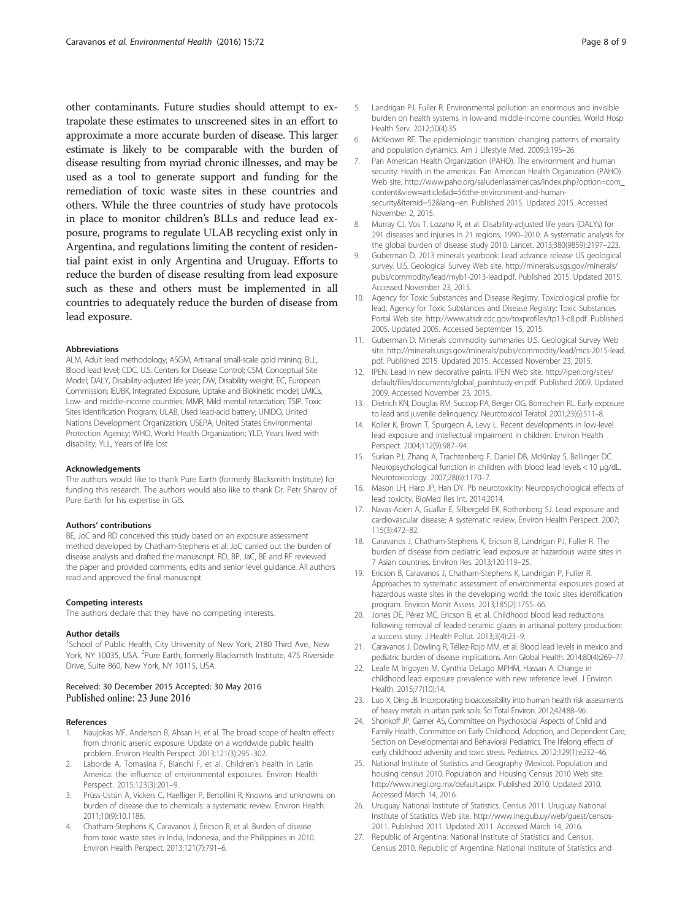<span id="page-7-0"></span>other contaminants. Future studies should attempt to extrapolate these estimates to unscreened sites in an effort to approximate a more accurate burden of disease. This larger estimate is likely to be comparable with the burden of disease resulting from myriad chronic illnesses, and may be used as a tool to generate support and funding for the remediation of toxic waste sites in these countries and others. While the three countries of study have protocols in place to monitor children's BLLs and reduce lead exposure, programs to regulate ULAB recycling exist only in Argentina, and regulations limiting the content of residential paint exist in only Argentina and Uruguay. Efforts to reduce the burden of disease resulting from lead exposure such as these and others must be implemented in all countries to adequately reduce the burden of disease from lead exposure.

#### Abbreviations

ALM, Adult lead methodology; ASGM, Artisanal small-scale gold mining; BLL, Blood lead level; CDC, U.S. Centers for Disease Control; CSM, Conceptual Site Model; DALY, Disability-adjusted life year; DW, Disability weight; EC, European Commission; IEUBK, Integrated Exposure, Uptake and Biokinetic model; LMICs, Low- and middle-income countries; MMR, Mild mental retardation; TSIP, Toxic Sites Identification Program; ULAB, Used lead-acid battery; UNIDO, United Nations Development Organization; USEPA, United States Environmental Protection Agency; WHO, World Health Organization; YLD, Years lived with disability; YLL, Years of life lost

#### Acknowledgements

The authors would like to thank Pure Earth (formerly Blacksmith Institute) for funding this research. The authors would also like to thank Dr. Petr Sharov of Pure Earth for his expertise in GIS.

#### Authors' contributions

BE, JoC and RD conceived this study based on an exposure assessment method developed by Chatham-Stephens et al. JoC carried out the burden of disease analysis and drafted the manuscript. RD, BP, JaC, BE and RF reviewed the paper and provided comments, edits and senior level guidance. All authors read and approved the final manuscript.

#### Competing interests

The authors declare that they have no competing interests.

#### Author details

<sup>1</sup>School of Public Health, City University of New York, 2180 Third Ave., New York, NY 10035, USA. <sup>2</sup>Pure Earth, formerly Blacksmith Institute, 475 Riverside Drive, Suite 860, New York, NY 10115, USA.

#### Received: 30 December 2015 Accepted: 30 May 2016 Published online: 23 June 2016

#### References

- Naujokas MF, Anderson B, Ahsan H, et al. The broad scope of health effects from chronic arsenic exposure: Update on a worldwide public health problem. Environ Health Perspect. 2013;121(3):295–302.
- 2. Laborde A, Tomasina F, Bianchi F, et al. Children's health in Latin America: the influence of environmental exposures. Environ Health Perspect. 2015;123(3):201–9.
- 3. Prüss-Ustün A, Vickers C, Haefliger P, Bertollini R. Knowns and unknowns on burden of disease due to chemicals: a systematic review. Environ Health. 2011;10(9):10.1186.
- 4. Chatham-Stephens K, Caravanos J, Ericson B, et al. Burden of disease from toxic waste sites in India, Indonesia, and the Philippines in 2010. Environ Health Perspect. 2013;121(7):791–6.
- 5. Landrigan PJ, Fuller R. Environmental pollution: an enormous and invisible burden on health systems in low-and middle-income counties. World Hosp Health Serv. 2012;50(4):35.
- 6. McKeown RE. The epidemiologic transition: changing patterns of mortality and population dynamics. Am J Lifestyle Med. 2009;3:19S–26.
- 7. Pan American Health Organization (PAHO). The environment and human security: Health in the americas. Pan American Health Organization (PAHO) Web site. [http://www.paho.org/saludenlasamericas/index.php?option=com\\_](http://www.paho.org/saludenlasamericas/index.php?option=com_content&view=article&id=56:the-environment-and-human-security&Itemid=52&lang=en) [content&view=article&id=56:the-environment-and-human](http://www.paho.org/saludenlasamericas/index.php?option=com_content&view=article&id=56:the-environment-and-human-security&Itemid=52&lang=en)[security&Itemid=52&lang=en](http://www.paho.org/saludenlasamericas/index.php?option=com_content&view=article&id=56:the-environment-and-human-security&Itemid=52&lang=en). Published 2015. Updated 2015. Accessed November 2, 2015.
- 8. Murray CJ, Vos T, Lozano R, et al. Disability-adjusted life years (DALYs) for 291 diseases and injuries in 21 regions, 1990–2010: A systematic analysis for the global burden of disease study 2010. Lancet. 2013;380(9859):2197–223.
- 9. Guberman D. 2013 minerals yearbook: Lead advance release US geological survey. U.S. Geological Survey Web site. [http://minerals.usgs.gov/minerals/](http://minerals.usgs.gov/minerals/pubs/commodity/lead/myb1-2013-lead.pdf) [pubs/commodity/lead/myb1-2013-lead.pdf.](http://minerals.usgs.gov/minerals/pubs/commodity/lead/myb1-2013-lead.pdf) Published 2015. Updated 2015. Accessed November 23, 2015.
- 10. Agency for Toxic Substances and Disease Registry. Toxicological profile for lead. Agency for Toxic Substances and Disease Registry: Toxic Substances Portal Web site. [http://www.atsdr.cdc.gov/toxprofiles/tp13-c8.pdf.](http://www.atsdr.cdc.gov/toxprofiles/tp13-c8.pdf) Published 2005. Updated 2005. Accessed September 15, 2015.
- 11. Guberman D. Minerals commodity summaries U.S. Geological Survey Web site. [http://minerals.usgs.gov/minerals/pubs/commodity/lead/mcs-2015-lead.](http://minerals.usgs.gov/minerals/pubs/commodity/lead/mcs-2015-lead.pdf) [pdf](http://minerals.usgs.gov/minerals/pubs/commodity/lead/mcs-2015-lead.pdf). Published 2015. Updated 2015. Accessed November 23, 2015.
- 12. IPEN. Lead in new decorative paints. IPEN Web site. [http://ipen.org/sites/](http://ipen.org/sites/default/files/documents/global_paintstudy-en.pdf) [default/files/documents/global\\_paintstudy-en.pdf.](http://ipen.org/sites/default/files/documents/global_paintstudy-en.pdf) Published 2009. Updated 2009. Accessed November 23, 2015.
- 13. Dietrich KN, Douglas RM, Succop PA, Berger OG, Bornschein RL. Early exposure to lead and juvenile delinquency. Neurotoxicol Teratol. 2001;23(6):511–8.
- 14. Koller K, Brown T, Spurgeon A, Levy L. Recent developments in low-level lead exposure and intellectual impairment in children. Environ Health Perspect. 2004;112(9):987–94.
- 15. Surkan PJ, Zhang A, Trachtenberg F, Daniel DB, McKinlay S, Bellinger DC. Neuropsychological function in children with blood lead levels < 10 μg/dL. Neurotoxicology. 2007;28(6):1170–7.
- 16. Mason LH, Harp JP, Han DY. Pb neurotoxicity: Neuropsychological effects of lead toxicity. BioMed Res Int. 2014;2014.
- 17. Navas-Acien A, Guallar E, Silbergeld EK, Rothenberg SJ. Lead exposure and cardiovascular disease: A systematic review. Environ Health Perspect. 2007; 115(3):472–82.
- 18. Caravanos J, Chatham-Stephens K, Ericson B, Landrigan PJ, Fuller R. The burden of disease from pediatric lead exposure at hazardous waste sites in 7 Asian countries. Environ Res. 2013;120:119–25.
- 19. Ericson B, Caravanos J, Chatham-Stephens K, Landrigan P, Fuller R. Approaches to systematic assessment of environmental exposures posed at hazardous waste sites in the developing world: the toxic sites identification program. Environ Monit Assess. 2013;185(2):1755–66.
- 20. Jones DE, Pérez MC, Ericson B, et al. Childhood blood lead reductions following removal of leaded ceramic glazes in artisanal pottery production: a success story. J Health Pollut. 2013;3(4):23–9.
- 21. Caravanos J, Dowling R, Téllez-Rojo MM, et al. Blood lead levels in mexico and pediatric burden of disease implications. Ann Global Health. 2014;80(4):269–77.
- 22. Leafe M, Irigoyen M, Cynthia DeLago MPHM, Hassan A. Change in childhood lead exposure prevalence with new reference level. J Environ Health. 2015;77(10):14.
- 23. Luo X, Ding JB. Incorporating bioaccessibility into human health risk assessments of heavy metals in urban park soils. Sci Total Environ. 2012;424:88–96.
- 24. Shonkoff JP, Garner AS, Committee on Psychosocial Aspects of Child and Family Health, Committee on Early Childhood, Adoption, and Dependent Care, Section on Developmental and Behavioral Pediatrics. The lifelong effects of early childhood adversity and toxic stress. Pediatrics. 2012;129(1):e232-46.
- 25. National Institute of Statistics and Geography (Mexico). Population and housing census 2010. Population and Housing Census 2010 Web site. <http://www.inegi.org.mx/default.aspx>. Published 2010. Updated 2010. Accessed March 14, 2016.
- 26. Uruguay National Institute of Statistics. Census 2011. Uruguay National Institute of Statistics Web site. [http://www.ine.gub.uy/web/guest/censos-](http://www.ine.gub.uy/web/guest/censos-2011)[2011](http://www.ine.gub.uy/web/guest/censos-2011). Published 2011. Updated 2011. Accessed March 14, 2016.
- 27. Republic of Argentina: National Institute of Statistics and Census. Census 2010. Republic of Argentina: National Institute of Statistics and